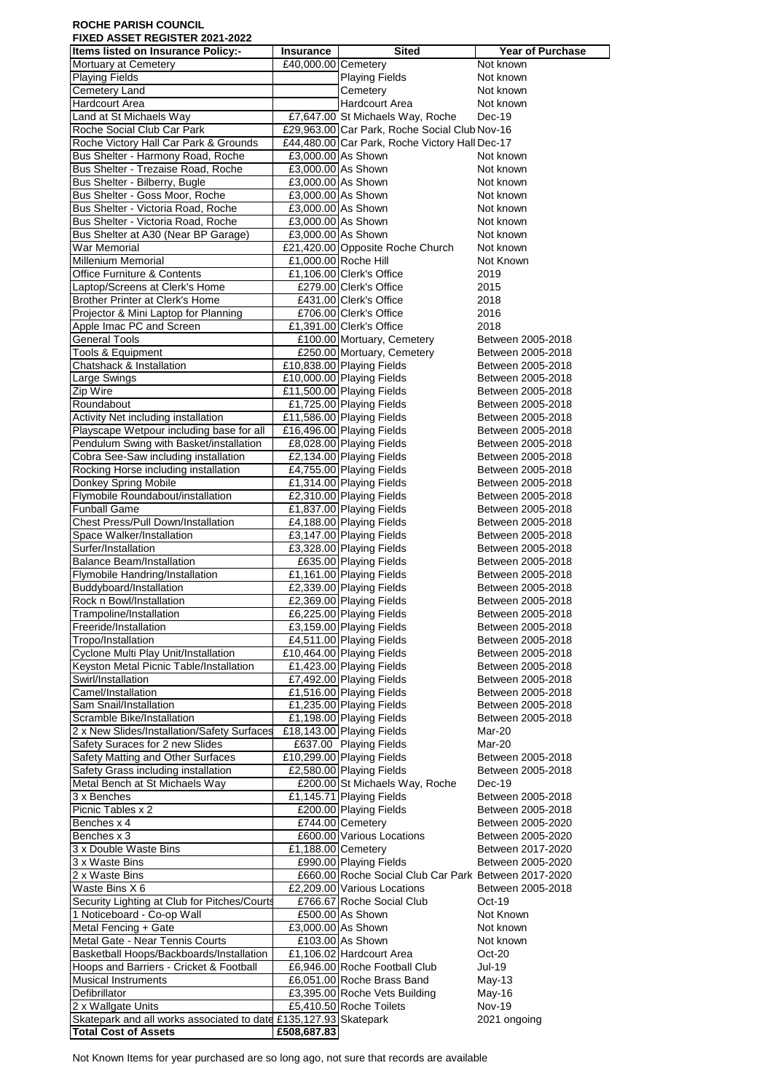## **ROCHE PARISH COUNCIL FIXED ASSET REGISTER 2021-2022**

| TIXED AUUET INEUIUTEIN ZUZT-ZUZZ<br>Items listed on Insurance Policy:-              | Insurance                                | Sited                                                                               | Year of Purchase                       |
|-------------------------------------------------------------------------------------|------------------------------------------|-------------------------------------------------------------------------------------|----------------------------------------|
| Mortuary at Cemetery                                                                | £40,000.00 Cemetery                      |                                                                                     | Not known                              |
| <b>Playing Fields</b>                                                               |                                          | <b>Playing Fields</b>                                                               | Not known                              |
| <b>Cemetery Land</b>                                                                |                                          | Cemetery                                                                            | Not known                              |
| <b>Hardcourt Area</b><br>Land at St Michaels Way                                    |                                          | Hardcourt Area                                                                      | Not known<br>$Dec-19$                  |
| Roche Social Club Car Park                                                          |                                          | £7,647.00 St Michaels Way, Roche<br>£29,963.00 Car Park, Roche Social Club Nov-16   |                                        |
| Roche Victory Hall Car Park & Grounds                                               |                                          | £44,480.00 Car Park, Roche Victory Hall Dec-17                                      |                                        |
| Bus Shelter - Harmony Road, Roche                                                   | £3,000.00 As Shown                       |                                                                                     | Not known                              |
| Bus Shelter - Trezaise Road, Roche                                                  |                                          | £3,000.00 As Shown                                                                  | Not known                              |
| Bus Shelter - Bilberry, Bugle                                                       |                                          | £3,000.00 As Shown                                                                  | Not known                              |
| Bus Shelter - Goss Moor, Roche                                                      |                                          | £3,000.00 As Shown                                                                  | Not known                              |
| Bus Shelter - Victoria Road, Roche                                                  |                                          | £3,000.00 As Shown                                                                  | Not known                              |
| Bus Shelter - Victoria Road, Roche<br>Bus Shelter at A30 (Near BP Garage)           | £3,000.00 As Shown<br>£3,000.00 As Shown |                                                                                     | Not known<br>Not known                 |
| <b>War Memorial</b>                                                                 |                                          | £21,420.00 Opposite Roche Church                                                    | Not known                              |
| <b>Millenium Memorial</b>                                                           |                                          | £1,000.00 Roche Hill                                                                | Not Known                              |
| <b>Office Furniture &amp; Contents</b>                                              |                                          | £1,106.00 Clerk's Office                                                            | 2019                                   |
| Laptop/Screens at Clerk's Home                                                      |                                          | £279.00 Clerk's Office                                                              | 2015                                   |
| Brother Printer at Clerk's Home                                                     |                                          | £431.00 Clerk's Office                                                              | 2018                                   |
| Projector & Mini Laptop for Planning                                                |                                          | £706.00 Clerk's Office                                                              | 2016                                   |
| Apple Imac PC and Screen<br><b>General Tools</b>                                    |                                          | £1,391.00 Clerk's Office<br>£100.00 Mortuary, Cemetery                              | 2018<br>Between 2005-2018              |
| Tools & Equipment                                                                   |                                          | £250.00 Mortuary, Cemetery                                                          | Between 2005-2018                      |
| Chatshack & Installation                                                            |                                          | £10,838.00 Playing Fields                                                           | Between 2005-2018                      |
| <b>Large Swings</b>                                                                 |                                          | £10,000.00 Playing Fields                                                           | Between 2005-2018                      |
| Zip Wire                                                                            |                                          | £11,500.00 Playing Fields                                                           | Between 2005-2018                      |
| Roundabout                                                                          |                                          | £1,725.00 Playing Fields                                                            | Between 2005-2018                      |
| <b>Activity Net including installation</b>                                          |                                          | £11,586.00 Playing Fields                                                           | Between 2005-2018                      |
| Playscape Wetpour including base for all<br>Pendulum Swing with Basket/installation |                                          | £16,496.00 Playing Fields                                                           | Between 2005-2018<br>Between 2005-2018 |
| Cobra See-Saw including installation                                                |                                          | £8,028.00 Playing Fields<br>£2,134.00 Playing Fields                                | Between 2005-2018                      |
| Rocking Horse including installation                                                |                                          | £4,755.00 Playing Fields                                                            | Between 2005-2018                      |
| Donkey Spring Mobile                                                                |                                          | £1,314.00 Playing Fields                                                            | Between 2005-2018                      |
| Flymobile Roundabout/installation                                                   |                                          | £2,310.00 Playing Fields                                                            | Between 2005-2018                      |
| <b>Funball Game</b>                                                                 |                                          | £1,837.00 Playing Fields                                                            | Between 2005-2018                      |
| Chest Press/Pull Down/Installation                                                  |                                          | £4,188.00 Playing Fields                                                            | Between 2005-2018                      |
| Space Walker/Installation                                                           |                                          | £3,147.00 Playing Fields                                                            | Between 2005-2018                      |
| Surfer/Installation<br><b>Balance Beam/Installation</b>                             |                                          | £3,328.00 Playing Fields<br>£635.00 Playing Fields                                  | Between 2005-2018<br>Between 2005-2018 |
| Flymobile Handring/Installation                                                     |                                          | £1,161.00 Playing Fields                                                            | Between 2005-2018                      |
| Buddyboard/Installation                                                             |                                          | £2,339.00 Playing Fields                                                            | Between 2005-2018                      |
| Rock n Bowl/Installation                                                            |                                          | £2,369.00 Playing Fields                                                            | Between 2005-2018                      |
| Trampoline/Installation                                                             |                                          | £6,225.00 Playing Fields                                                            | Between 2005-2018                      |
| Freeride/Installation                                                               |                                          | £3,159.00 Playing Fields                                                            | Between 2005-2018                      |
| Tropo/Installation                                                                  |                                          | £4,511.00 Playing Fields                                                            | Between 2005-2018                      |
| Cyclone Multi Play Unit/Installation<br>Keyston Metal Picnic Table/Installation     |                                          | £10,464.00 Playing Fields<br>£1,423.00 Playing Fields                               | Between 2005-2018<br>Between 2005-2018 |
| Swirl/Installation                                                                  |                                          | £7,492.00 Playing Fields                                                            | Between 2005-2018                      |
| Camel/Installation                                                                  |                                          | £1,516.00 Playing Fields                                                            | Between 2005-2018                      |
| Sam Snail/Installation                                                              |                                          | £1,235.00 Playing Fields                                                            | Between 2005-2018                      |
| Scramble Bike/Installation                                                          |                                          | £1,198.00 Playing Fields                                                            | Between 2005-2018                      |
| 2 x New Slides/Installation/Safety Surfaces                                         |                                          | £18,143.00 Playing Fields                                                           | Mar-20                                 |
| Safety Suraces for 2 new Slides                                                     |                                          | £637.00 Playing Fields                                                              | Mar-20                                 |
| Safety Matting and Other Surfaces<br>Safety Grass including installation            |                                          | £10,299.00 Playing Fields<br>£2,580.00 Playing Fields                               | Between 2005-2018<br>Between 2005-2018 |
| Metal Bench at St Michaels Way                                                      |                                          | £200.00 St Michaels Way, Roche                                                      | $Dec-19$                               |
| 3 x Benches                                                                         |                                          | £1,145.71 Playing Fields                                                            | Between 2005-2018                      |
| Picnic Tables x 2                                                                   |                                          | £200.00 Playing Fields                                                              | Between 2005-2018                      |
| Benches x 4                                                                         |                                          | £744.00 Cemetery                                                                    | Between 2005-2020                      |
| Benches x 3                                                                         |                                          | £600.00 Various Locations                                                           | Between 2005-2020                      |
| 3 x Double Waste Bins                                                               | £1,188.00 Cemetery                       |                                                                                     | Between 2017-2020                      |
| 3 x Waste Bins                                                                      |                                          | £990.00 Playing Fields                                                              | Between 2005-2020                      |
| 2 x Waste Bins<br>Waste Bins X 6                                                    |                                          | £660.00 Roche Social Club Car Park Between 2017-2020<br>£2,209.00 Various Locations | Between 2005-2018                      |
| Security Lighting at Club for Pitches/Courts                                        |                                          | £766.67 Roche Social Club                                                           | Oct-19                                 |
| 1 Noticeboard - Co-op Wall                                                          |                                          | £500.00 As Shown                                                                    | Not Known                              |
| Metal Fencing + Gate                                                                | £3,000.00 As Shown                       |                                                                                     | Not known                              |
| Metal Gate - Near Tennis Courts                                                     |                                          | £103.00 As Shown                                                                    | Not known                              |
| Basketball Hoops/Backboards/Installation                                            |                                          | £1,106.02 Hardcourt Area                                                            | Oct-20                                 |
| Hoops and Barriers - Cricket & Football                                             |                                          | £6,946.00 Roche Football Club                                                       | Jul-19                                 |
| <b>Musical Instruments</b>                                                          |                                          | £6,051.00 Roche Brass Band                                                          | May-13                                 |
| Defibrillator                                                                       |                                          | £3,395.00 Roche Vets Building<br>£5,410.50 Roche Toilets                            | May-16<br><b>Nov-19</b>                |
| 2 x Wallgate Units<br>Skatepark and all works associated to date                    | £135,127.93 Skatepark                    |                                                                                     | 2021 ongoing                           |
| <b>Total Cost of Assets</b>                                                         | £508,687.83                              |                                                                                     |                                        |

Not Known Items for year purchased are so long ago, not sure that records are available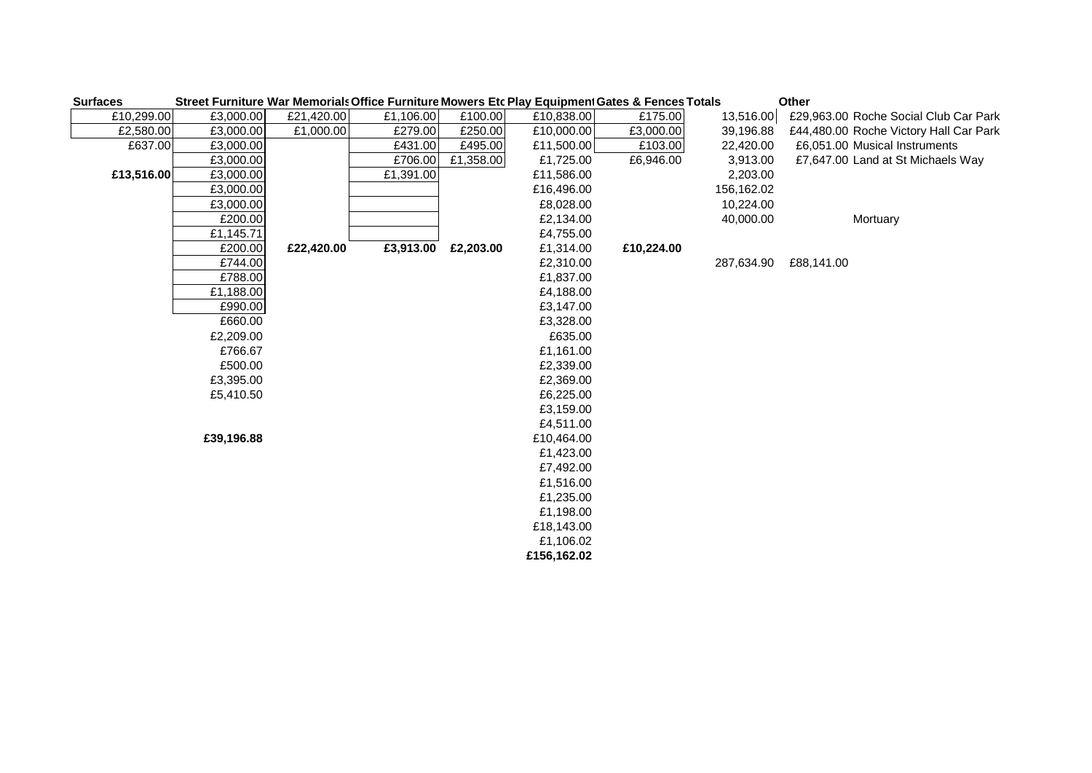| <b>Surfaces</b> |            |            |           |           |             | Street Furniture War Memorials Office Furniture Mowers Etc Play Equipment Gates & Fences Totals |            | Other                                  |
|-----------------|------------|------------|-----------|-----------|-------------|-------------------------------------------------------------------------------------------------|------------|----------------------------------------|
| £10,299.00      | £3,000.00  | £21,420.00 | £1,106.00 | £100.00   | £10,838.00  | £175.00                                                                                         | 13,516.00  | £29,963.00 Roche Social Club Car Park  |
| £2,580.00       | £3,000.00  | £1,000.00  | £279.00   | £250.00   | £10,000.00  | £3,000.00                                                                                       | 39,196.88  | £44,480.00 Roche Victory Hall Car Park |
| £637.00         | £3,000.00  |            | £431.00   | £495.00   | £11,500.00  | £103.00                                                                                         | 22,420.00  | £6,051.00 Musical Instruments          |
|                 | £3,000.00  |            | £706.00   | £1,358.00 | £1,725.00   | £6,946.00                                                                                       | 3,913.00   | £7,647.00 Land at St Michaels Way      |
| £13,516.00      | £3,000.00  |            | £1,391.00 |           | £11,586.00  |                                                                                                 | 2,203.00   |                                        |
|                 | £3,000.00  |            |           |           | £16,496.00  |                                                                                                 | 156,162.02 |                                        |
|                 | £3,000.00  |            |           |           | £8,028.00   |                                                                                                 | 10,224.00  |                                        |
|                 | £200.00    |            |           |           | £2,134.00   |                                                                                                 | 40,000.00  | Mortuary                               |
|                 | £1,145.71  |            |           |           | £4,755.00   |                                                                                                 |            |                                        |
|                 | £200.00    | £22,420.00 | £3,913.00 | £2,203.00 | £1,314.00   | £10,224.00                                                                                      |            |                                        |
|                 | £744.00    |            |           |           | £2,310.00   |                                                                                                 | 287,634.90 | £88,141.00                             |
|                 | £788.00    |            |           |           | £1,837.00   |                                                                                                 |            |                                        |
|                 | £1,188.00  |            |           |           | £4,188.00   |                                                                                                 |            |                                        |
|                 | £990.00    |            |           |           | £3,147.00   |                                                                                                 |            |                                        |
|                 | £660.00    |            |           |           | £3,328.00   |                                                                                                 |            |                                        |
|                 | £2,209.00  |            |           |           | £635.00     |                                                                                                 |            |                                        |
|                 | £766.67    |            |           |           | £1,161.00   |                                                                                                 |            |                                        |
|                 | £500.00    |            |           |           | £2,339.00   |                                                                                                 |            |                                        |
|                 | £3,395.00  |            |           |           | £2,369.00   |                                                                                                 |            |                                        |
|                 | £5,410.50  |            |           |           | £6,225.00   |                                                                                                 |            |                                        |
|                 |            |            |           |           | £3,159.00   |                                                                                                 |            |                                        |
|                 |            |            |           |           | £4,511.00   |                                                                                                 |            |                                        |
|                 | £39,196.88 |            |           |           | £10,464.00  |                                                                                                 |            |                                        |
|                 |            |            |           |           | £1,423.00   |                                                                                                 |            |                                        |
|                 |            |            |           |           | £7,492.00   |                                                                                                 |            |                                        |
|                 |            |            |           |           | £1,516.00   |                                                                                                 |            |                                        |
|                 |            |            |           |           | £1,235.00   |                                                                                                 |            |                                        |
|                 |            |            |           |           | £1,198.00   |                                                                                                 |            |                                        |
|                 |            |            |           |           | £18,143.00  |                                                                                                 |            |                                        |
|                 |            |            |           |           | £1,106.02   |                                                                                                 |            |                                        |
|                 |            |            |           |           | £156,162.02 |                                                                                                 |            |                                        |
|                 |            |            |           |           |             |                                                                                                 |            |                                        |